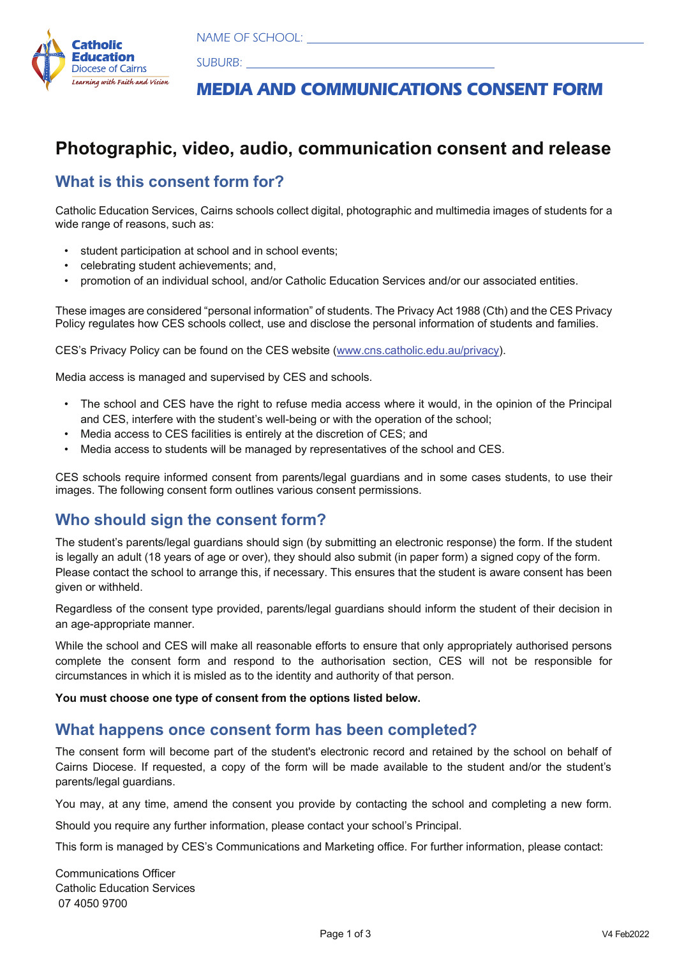Enter School Name Here, School Suburb  NAME OF SCHOOL:



MEDIA AND COMMUNICATIONS OF THE COMMUNICATIONS OF THE COMMUNICATIONS OF THE COMMUNICATIONS OF THE COMMUNICATIONS OF THE COMMUNICATIONS OF THE COMMUNICATIONS OF THE COMMUNICATIONS OF THE COMMUNICATIONS OF THE COMMUNICATIONS  SUBURB:

# **MEDIA AND COMMUNICATIONS CONSENT FORM**

## **Photographic, video, audio, communication consent and release**

#### **What is this consent form for?**

Catholic Education Services, Cairns schools collect digital, photographic and multimedia images of students for a wide range of reasons, such as:

- student participation at school and in school events;
- celebrating student achievements; and,
- promotion of an individual school, and/or Catholic Education Services and/or our associated entities.

These images are considered "personal information" of students. The Privacy Act 1988 (Cth) and the CES Privacy Policy regulates how CES schools collect, use and disclose the personal information of students and families.

CES's Privacy Policy can be found on the CES website (www.cns.catholic.edu.au/privacy).

Media access is managed and supervised by CES and schools.

- The school and CES have the right to refuse media access where it would, in the opinion of the Principal and CES, interfere with the student's well-being or with the operation of the school;
- Media access to CES facilities is entirely at the discretion of CES; and
- Media access to students will be managed by representatives of the school and CES.

CES schools require informed consent from parents/legal guardians and in some cases students, to use their images. The following consent form outlines various consent permissions.

#### **Who should sign the consent form?**

The student's parents/legal guardians should sign (by submitting an electronic response) the form. If the student is legally an adult (18 years of age or over), they should also submit (in paper form) a signed copy of the form. Please contact the school to arrange this, if necessary. This ensures that the student is aware consent has been given or withheld.

Regardless of the consent type provided, parents/legal guardians should inform the student of their decision in an age-appropriate manner.

While the school and CES will make all reasonable efforts to ensure that only appropriately authorised persons complete the consent form and respond to the authorisation section, CES will not be responsible for circumstances in which it is misled as to the identity and authority of that person.

**You must choose one type of consent from the options listed below.**

#### **What happens once consent form has been completed?**

The consent form will become part of the student's electronic record and retained by the school on behalf of Cairns Diocese. If requested, a copy of the form will be made available to the student and/or the student's parents/legal guardians.

You may, at any time, amend the consent you provide by contacting the school and completing a new form.

Should you require any further information, please contact your school's Principal.

This form is managed by CES's Communications and Marketing office. For further information, please contact:

Communications Officer Catholic Education Services 07 4050 9700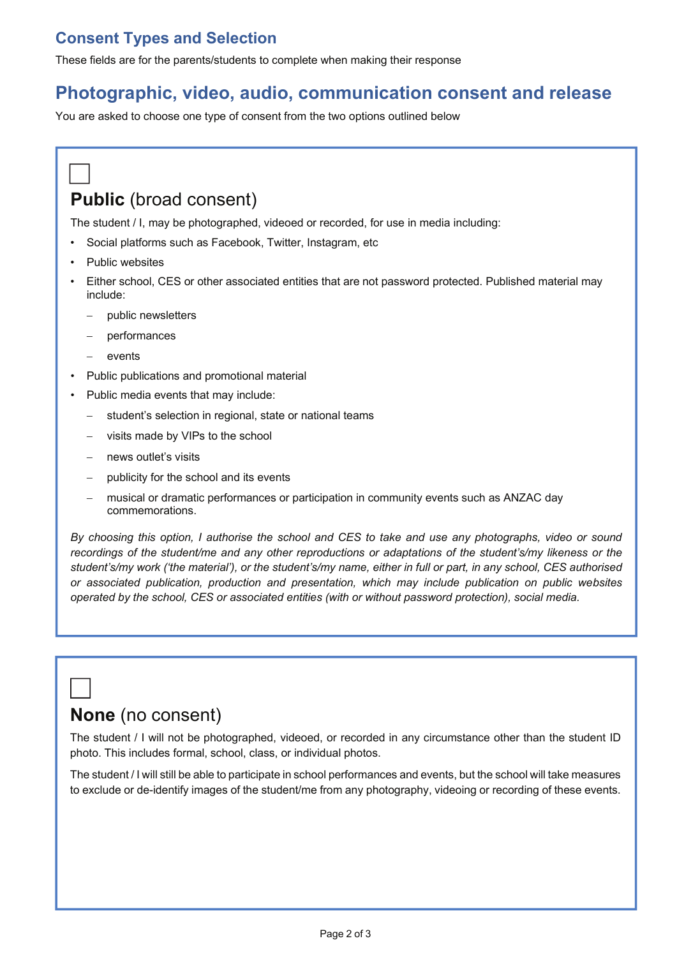### **Consent Types and Selection**

These fields are for the parents/students to complete when making their response

## **Photographic, video, audio, communication consent and release**

You are asked to choose one type of consent from the two options outlined below

# **Public** (broad consent)

The student / I, may be photographed, videoed or recorded, for use in media including:

- Social platforms such as Facebook, Twitter, Instagram, etc
- Public websites
- Either school, CES or other associated entities that are not password protected. Published material may include:
	- public newsletters
	- − performances
	- events
- Public publications and promotional material
- Public media events that may include:
	- − student's selection in regional, state or national teams
	- visits made by VIPs to the school
	- news outlet's visits
	- publicity for the school and its events
	- − musical or dramatic performances or participation in community events such as ANZAC day commemorations.

*By choosing this option, I authorise the school and CES to take and use any photographs, video or sound recordings of the student/me and any other reproductions or adaptations of the student's/my likeness or the student's/my work ('the material'), or the student's/my name, either in full or part, in any school, CES authorised or associated publication, production and presentation, which may include publication on public websites operated by the school, CES or associated entities (with or without password protection), social media.*

# **None** (no consent)

The student / I will not be photographed, videoed, or recorded in any circumstance other than the student ID photo. This includes formal, school, class, or individual photos.

The student / I will still be able to participate in school performances and events, but the school will take measures to exclude or de-identify images of the student/me from any photography, videoing or recording of these events.